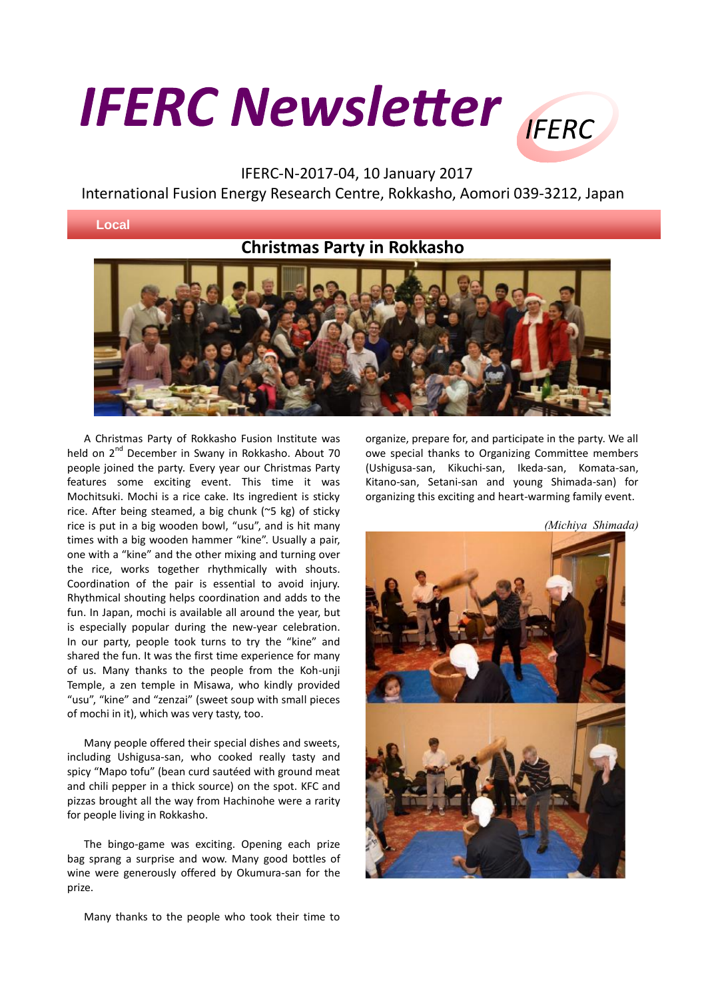## **IFERC Newsletter** IFERC

## IFERC-N-2017-04, 10 January 2017 International Fusion Energy Research Centre, Rokkasho, Aomori 039-3212, Japan

## **Local**

## **Christmas Party in Rokkasho**



A Christmas Party of Rokkasho Fusion Institute was held on 2<sup>nd</sup> December in Swany in Rokkasho. About 70 people joined the party. Every year our Christmas Party features some exciting event. This time it was Mochitsuki. Mochi is a rice cake. Its ingredient is sticky rice. After being steamed, a big chunk (~5 kg) of sticky rice is put in a big wooden bowl, "usu", and is hit many times with a big wooden hammer "kine". Usually a pair, one with a "kine" and the other mixing and turning over the rice, works together rhythmically with shouts. Coordination of the pair is essential to avoid injury. Rhythmical shouting helps coordination and adds to the fun. In Japan, mochi is available all around the year, but is especially popular during the new-year celebration. In our party, people took turns to try the "kine" and shared the fun. It was the first time experience for many of us. Many thanks to the people from the Koh-unji Temple, a zen temple in Misawa, who kindly provided "usu", "kine" and "zenzai" (sweet soup with small pieces of mochi in it), which was very tasty, too.

Many people offered their special dishes and sweets, including Ushigusa-san, who cooked really tasty and spicy "Mapo tofu" (bean curd sautéed with ground meat and chili pepper in a thick source) on the spot. KFC and pizzas brought all the way from Hachinohe were a rarity for people living in Rokkasho.

The bingo-game was exciting. Opening each prize bag sprang a surprise and wow. Many good bottles of wine were generously offered by Okumura-san for the prize.

Many thanks to the people who took their time to

organize, prepare for, and participate in the party. We all owe special thanks to Organizing Committee members (Ushigusa-san, Kikuchi-san, Ikeda-san, Komata-san, Kitano-san, Setani-san and young Shimada-san) for organizing this exciting and heart-warming family event.

*(Michiya Shimada)*